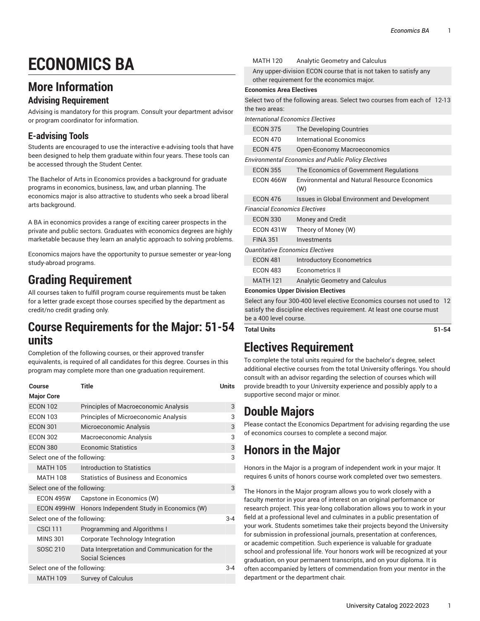# **ECONOMICS BA**

### **More Information**

#### **Advising Requirement**

Advising is mandatory for this program. Consult your department advisor or program coordinator for information.

### **E-advising Tools**

Students are encouraged to use the interactive e-advising tools that have been designed to help them graduate within four years. These tools can be accessed through the Student Center.

The Bachelor of Arts in Economics provides a background for graduate programs in economics, business, law, and urban planning. The economics major is also attractive to students who seek a broad liberal arts background.

A BA in economics provides a range of exciting career prospects in the private and public sectors. Graduates with economics degrees are highly marketable because they learn an analytic approach to solving problems.

Economics majors have the opportunity to pursue semester or year-long study-abroad programs.

## **Grading Requirement**

All courses taken to fulfill program course requirements must be taken for a letter grade except those courses specified by the department as credit/no credit grading only.

### **Course Requirements for the Major: 51-54 units**

Completion of the following courses, or their approved transfer equivalents, is required of all candidates for this degree. Courses in this program may complete more than one graduation requirement.

| Course                       | Title                                                            | <b>Units</b> |
|------------------------------|------------------------------------------------------------------|--------------|
| <b>Major Core</b>            |                                                                  |              |
| <b>ECON 102</b>              | Principles of Macroeconomic Analysis                             | 3            |
| <b>ECON 103</b>              | Principles of Microeconomic Analysis                             | 3            |
| <b>ECON 301</b>              | Microeconomic Analysis                                           | 3            |
| <b>ECON 302</b>              | Macroeconomic Analysis                                           | 3            |
| <b>ECON 380</b>              | Economic Statistics                                              | 3            |
| Select one of the following: |                                                                  | 3            |
| MATH 105                     | Introduction to Statistics                                       |              |
| <b>MATH 108</b>              | Statistics of Business and Economics                             |              |
| Select one of the following: |                                                                  | 3            |
| ECON 495W                    | Capstone in Economics (W)                                        |              |
| ECON 499HW                   | Honors Independent Study in Economics (W)                        |              |
| Select one of the following: |                                                                  | $3 - 4$      |
| <b>CSCI 111</b>              | Programming and Algorithms I                                     |              |
| <b>MINS 301</b>              | Corporate Technology Integration                                 |              |
| <b>SOSC 210</b>              | Data Interpretation and Communication for the<br>Social Sciences |              |
| Select one of the following: |                                                                  | $3 - 4$      |
| <b>MATH 109</b>              | Survey of Calculus                                               |              |

|                                                                 | <b>MATH 120</b> | Analytic Geometry and Calculus |
|-----------------------------------------------------------------|-----------------|--------------------------------|
| Any upper-division ECON course that is not taken to satisfy any |                 |                                |
| other requirement for the economics major.                      |                 |                                |

#### **Economics Area Electives**

Select two of the following areas. Select two courses from each of 12-13 the two areas:

*International Economics Electives*

|                                                            | <b>ECON 375</b>  | The Developing Countries                            |  |  |
|------------------------------------------------------------|------------------|-----------------------------------------------------|--|--|
|                                                            | <b>ECON 470</b>  | International Economics                             |  |  |
|                                                            | <b>ECON 475</b>  | <b>Open-Economy Macroeconomics</b>                  |  |  |
| <b>Environmental Economics and Public Policy Electives</b> |                  |                                                     |  |  |
|                                                            | <b>ECON 355</b>  | The Economics of Government Regulations             |  |  |
|                                                            | ECON 466W        | Environmental and Natural Resource Economics<br>(W) |  |  |
|                                                            | <b>ECON 476</b>  | <b>Issues in Global Environment and Development</b> |  |  |
| <b>Financial Economics Electives</b>                       |                  |                                                     |  |  |
|                                                            | <b>ECON 330</b>  | Money and Credit                                    |  |  |
|                                                            | <b>ECON 431W</b> | Theory of Money (W)                                 |  |  |
|                                                            | <b>FINA 351</b>  | Investments                                         |  |  |
| <b>Ouantitative Economics Electives</b>                    |                  |                                                     |  |  |
|                                                            | <b>ECON 481</b>  | <b>Introductory Econometrics</b>                    |  |  |
|                                                            | <b>ECON 483</b>  | Econometrics II                                     |  |  |
|                                                            | <b>MATH 121</b>  | <b>Analytic Geometry and Calculus</b>               |  |  |
|                                                            |                  | <b>Economics Unner Division Flectives</b>           |  |  |

#### **Economics Upper Division Electives**

Select any four 300-400 level elective Economics courses not used to 12 satisfy the discipline electives requirement. At least one course must be a 400 level course.

**Total Units 51-54**

### **Electives Requirement**

To complete the total units required for the bachelor's degree, select additional elective courses from the total University offerings. You should consult with an advisor regarding the selection of courses which will provide breadth to your University experience and possibly apply to a supportive second major or minor.

### **Double Majors**

Please contact the Economics Department for advising regarding the use of economics courses to complete a second major.

### **Honors in the Major**

Honors in the Major is a program of independent work in your major. It requires 6 units of honors course work completed over two semesters.

The Honors in the Major program allows you to work closely with a faculty mentor in your area of interest on an original performance or research project. This year-long collaboration allows you to work in your field at a professional level and culminates in a public presentation of your work. Students sometimes take their projects beyond the University for submission in professional journals, presentation at conferences, or academic competition. Such experience is valuable for graduate school and professional life. Your honors work will be recognized at your graduation, on your permanent transcripts, and on your diploma. It is often accompanied by letters of commendation from your mentor in the department or the department chair.